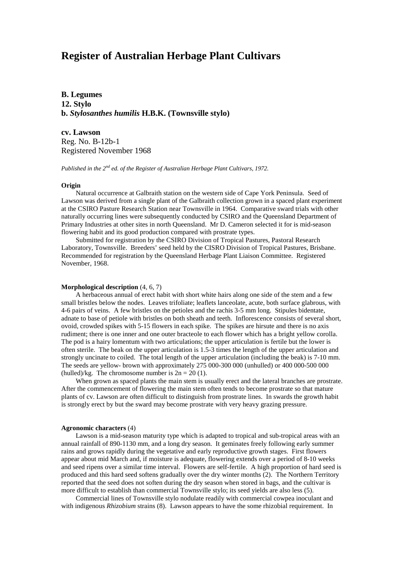# **Register of Australian Herbage Plant Cultivars**

**B. Legumes 12. Stylo b.** *Stylosanthes humilis* **H.B.K. (Townsville stylo)**

**cv. Lawson** Reg. No. B-12b-1 Registered November 1968

*Published in the 2nd ed. of the Register of Australian Herbage Plant Cultivars, 1972.*

#### **Origin**

Natural occurrence at Galbraith station on the western side of Cape York Peninsula. Seed of Lawson was derived from a single plant of the Galbraith collection grown in a spaced plant experiment at the CSIRO Pasture Research Station near Townsville in 1964. Comparative sward trials with other naturally occurring lines were subsequently conducted by CSIRO and the Queensland Department of Primary Industries at other sites in north Queensland. Mr D. Cameron selected it for is mid-season flowering habit and its good production compared with prostrate types.

Submitted for registration by the CSIRO Division of Tropical Pastures, Pastoral Research Laboratory, Townsville. Breeders' seed held by the CISRO Division of Tropical Pastures, Brisbane. Recommended for registration by the Queensland Herbage Plant Liaison Committee. Registered November, 1968.

### **Morphological description** (4, 6, 7)

A herbaceous annual of erect habit with short white hairs along one side of the stem and a few small bristles below the nodes. Leaves trifoliate; leaflets lanceolate, acute, both surface glabrous, with 4-6 pairs of veins. A few bristles on the petioles and the rachis 3-5 mm long. Stipules bidentate, adnate to base of petiole with bristles on both sheath and teeth. Inflorescence consists of several short, ovoid, crowded spikes with 5-15 flowers in each spike. The spikes are hirsute and there is no axis rudiment; there is one inner and one outer bracteole to each flower which has a bright yellow corolla. The pod is a hairy lomentum with two articulations; the upper articulation is fertile but the lower is often sterile. The beak on the upper articulation is 1.5-3 times the length of the upper articulation and strongly uncinate to coiled. The total length of the upper articulation (including the beak) is 7-10 mm. The seeds are yellow- brown with approximately 275 000-300 000 (unhulled) or 400 000-500 000 (hulled)/kg. The chromosome number is  $2n = 20$  (1).

When grown as spaced plants the main stem is usually erect and the lateral branches are prostrate. After the commencement of flowering the main stem often tends to become prostrate so that mature plants of cv. Lawson are often difficult to distinguish from prostrate lines. In swards the growth habit is strongly erect by but the sward may become prostrate with very heavy grazing pressure.

#### **Agronomic characters** (4)

Lawson is a mid-season maturity type which is adapted to tropical and sub-tropical areas with an annual rainfall of 890-1130 mm, and a long dry season. It geminates freely following early summer rains and grows rapidly during the vegetative and early reproductive growth stages. First flowers appear about mid March and, if moisture is adequate, flowering extends over a period of 8-10 weeks and seed ripens over a similar time interval. Flowers are self-fertile. A high proportion of hard seed is produced and this hard seed softens gradually over the dry winter months (2). The Northern Territory reported that the seed does not soften during the dry season when stored in bags, and the cultivar is more difficult to establish than commercial Townsville stylo; its seed yields are also less (5).

Commercial lines of Townsville stylo nodulate readily with commercial cowpea inoculant and with indigenous *Rhizobium* strains (8). Lawson appears to have the some rhizobial requirement. In